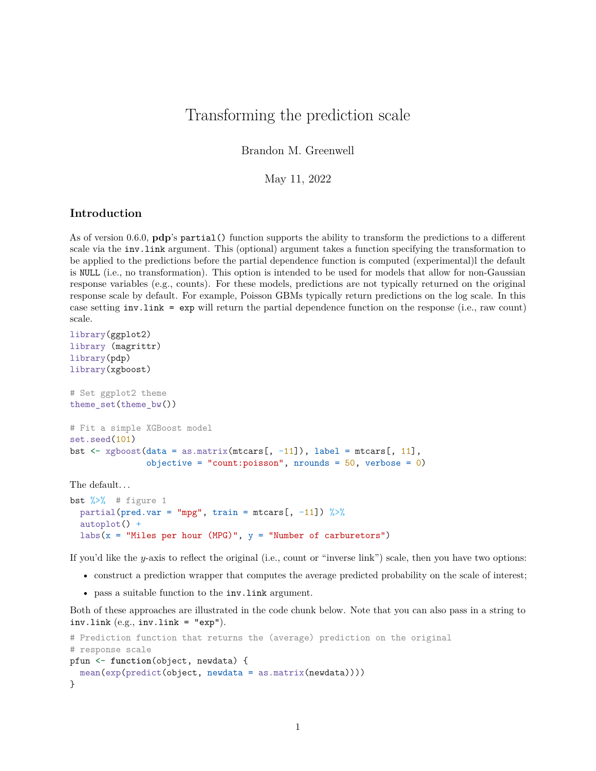## Transforming the prediction scale

Brandon M. Greenwell

May 11, 2022

## **Introduction**

As of version 0.6.0, **pdp**'s partial() function supports the ability to transform the predictions to a different scale via the inv.link argument. This (optional) argument takes a function specifying the transformation to be applied to the predictions before the partial dependence function is computed (experimental)l the default is NULL (i.e., no transformation). This option is intended to be used for models that allow for non-Gaussian response variables (e.g., counts). For these models, predictions are not typically returned on the original response scale by default. For example, Poisson GBMs typically return predictions on the log scale. In this case setting inv.link = exp will return the partial dependence function on the response (i.e., raw count) scale.

```
library(ggplot2)
library (magrittr)
library(pdp)
library(xgboost)
# Set ggplot2 theme
theme_set(theme_bw())
# Fit a simple XGBoost model
set.seed(101)
bst \leq xgboost(data = as.matrix(mtcars[, -11]), label = mtcars[, 11],
               objective = "count: poisson", nrounds = 50, verbose = 0)
The default. . .
```

```
bst \frac{9}{2} # figure 1
  partial(pred.var = "mpg", train = mtcars[, -11]) \frac{1}{2}autoplot() +
  labs(x = "Miles per hour (MPG)", y = "Number of carburetors")
```
If you'd like the *y*-axis to reflect the original (i.e., count or "inverse link") scale, then you have two options:

- construct a prediction wrapper that computes the average predicted probability on the scale of interest;
- pass a suitable function to the inv.link argument.

Both of these approaches are illustrated in the code chunk below. Note that you can also pass in a string to inv.link  $(e.g., inv.link = "exp").$ 

```
# Prediction function that returns the (average) prediction on the original
# response scale
pfun <- function(object, newdata) {
  mean(exp(predict(object, newdata = as.matrix(newdata))))
}
```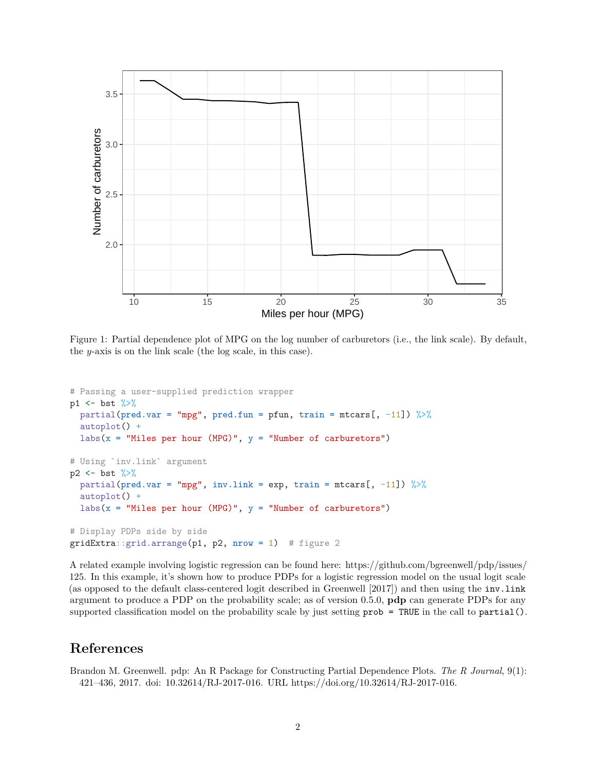

Figure 1: Partial dependence plot of MPG on the log number of carburetors (i.e., the link scale). By default, the *y*-axis is on the link scale (the log scale, in this case).

```
# Passing a user-supplied prediction wrapper
p1 \le - bst \frac{9}{2}partial(pred.var = "mpg", pred.fun = pfun, train = mtcars[, -11]) \frac{9}{6}autoplot() +
  labs(x = "Miles per hour (MPG)", y = "Number of carburetors")
# Using `inv.link` argument
p2 \le - bst \frac{9}{2}partial(pred.var = "mpg", inv.link = exp, train = mtcars[, -11]) \frac{1}{2}autoplot() +
  labs(x = "Miles per hour (MPG)", y = "Number of carburetors")
# Display PDPs side by side
gridExtra:grid.array(pl, p2, nrow = 1) # figure 2
```
A related example involving logistic regression can be found here: https://github.com/bgreenwell/pdp/issues/ 125. In this example, it's shown how to produce PDPs for a logistic regression model on the usual logit scale (as opposed to the default class-centered logit described in Greenwell [2017]) and then using the inv.link argument to produce a PDP on the probability scale; as of version 0.5.0, **pdp** can generate PDPs for any supported classification model on the probability scale by just setting  $prob = TRUE$  in the call to partial().

## **References**

Brandon M. Greenwell. pdp: An R Package for Constructing Partial Dependence Plots. *The R Journal*, 9(1): 421–436, 2017. doi: 10.32614/RJ-2017-016. URL https://doi.org/10.32614/RJ-2017-016.